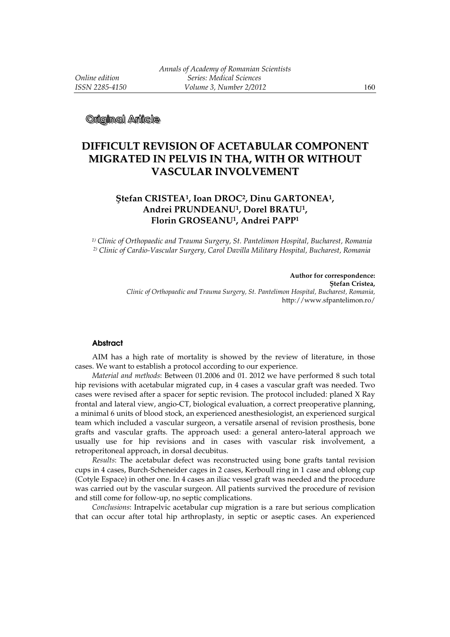**Original Arlicle** 

# **DIFFICULT REVISION OF ACETABULAR COMPONENT MIGRATED IN PELVIS IN THA, WITH OR WITHOUT VASCULAR INVOLVEMENT**

## **Ştefan CRISTEA<sup>1</sup>, Ioan DROC<sup>2</sup>, Dinu GARTONEA<sup>1</sup>, Andrei PRUNDEANU<sup>1</sup>, Dorel BRATU<sup>1</sup>, Florin GROSEANU<sup>1</sup>, Andrei PAPP<sup>1</sup>**

*1) Clinic of Orthopaedic and Trauma Surgery, St. Pantelimon Hospital, Bucharest, Romania 2) Clinic of Cardio-Vascular Surgery, Carol Davilla Military Hospital, Bucharest, Romania* 

> **Author for correspondence: Ştefan Cristea,**  *Clinic of Orthopaedic and Trauma Surgery, St. Pantelimon Hospital, Bucharest, Romania,*  http://www.sfpantelimon.ro/

#### **Abstract**

AIM has a high rate of mortality is showed by the review of literature, in those cases. We want to establish a protocol according to our experience.

*Material and methods*: Between 01.2006 and 01. 2012 we have performed 8 such total hip revisions with acetabular migrated cup, in 4 cases a vascular graft was needed. Two cases were revised after a spacer for septic revision. The protocol included: planed X Ray frontal and lateral view, angio-CT, biological evaluation, a correct preoperative planning, a minimal 6 units of blood stock, an experienced anesthesiologist, an experienced surgical team which included a vascular surgeon, a versatile arsenal of revision prosthesis, bone grafts and vascular grafts. The approach used: a general antero-lateral approach we usually use for hip revisions and in cases with vascular risk involvement, a retroperitoneal approach, in dorsal decubitus.

*Results*: The acetabular defect was reconstructed using bone grafts tantal revision cups in 4 cases, Burch-Scheneider cages in 2 cases, Kerboull ring in 1 case and oblong cup (Cotyle Espace) in other one. In 4 cases an iliac vessel graft was needed and the procedure was carried out by the vascular surgeon. All patients survived the procedure of revision and still come for follow-up, no septic complications.

*Conclusions*: Intrapelvic acetabular cup migration is a rare but serious complication that can occur after total hip arthroplasty, in septic or aseptic cases. An experienced